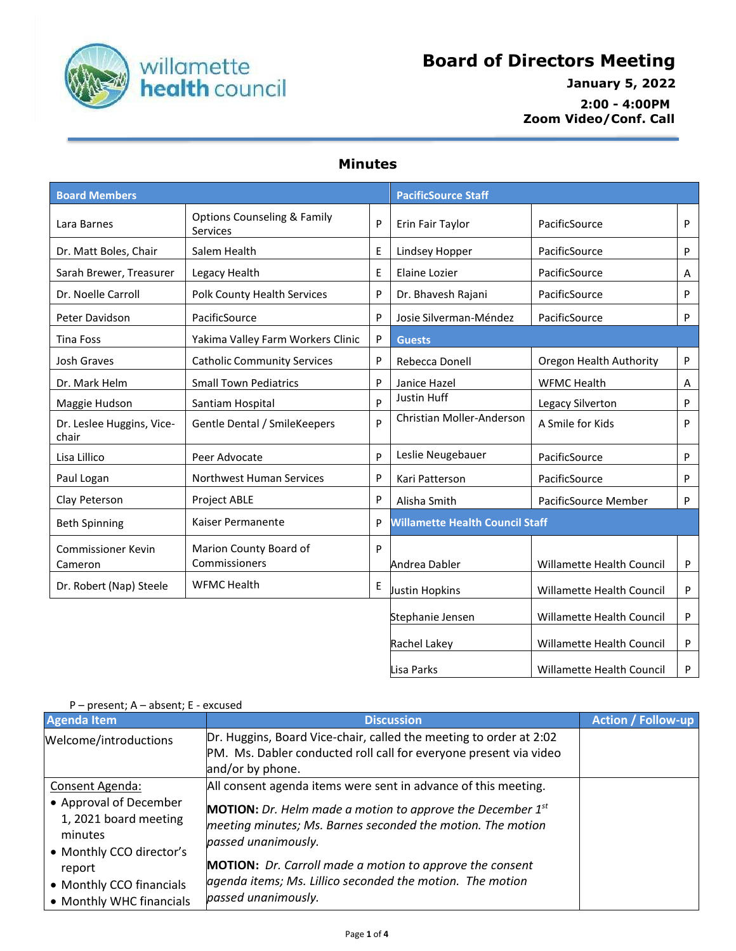

## **Board of Directors Meeting**

## **January 5, 2022 2:00 - 4:00PM Zoom Video/Conf. Call**

## **Minutes**

| <b>Board Members</b>                 |                                                    |   | <b>PacificSource Staff</b>             |                                  |         |
|--------------------------------------|----------------------------------------------------|---|----------------------------------------|----------------------------------|---------|
| Lara Barnes                          | <b>Options Counseling &amp; Family</b><br>Services | P | Erin Fair Taylor                       | PacificSource                    | P       |
| Dr. Matt Boles, Chair                | Salem Health                                       | Ε | Lindsey Hopper                         | PacificSource                    | P       |
| Sarah Brewer, Treasurer              | Legacy Health                                      | E | <b>Elaine Lozier</b>                   | PacificSource                    | A       |
| Dr. Noelle Carroll                   | Polk County Health Services                        | P | Dr. Bhavesh Rajani                     | PacificSource                    | P       |
| Peter Davidson                       | PacificSource                                      | P | Josie Silverman-Méndez                 | PacificSource                    | P       |
| <b>Tina Foss</b>                     | Yakima Valley Farm Workers Clinic                  | P | <b>Guests</b>                          |                                  |         |
| Josh Graves                          | <b>Catholic Community Services</b>                 | P | Rebecca Donell                         | Oregon Health Authority          | P       |
| Dr. Mark Helm                        | <b>Small Town Pediatrics</b>                       | P | Janice Hazel                           | <b>WFMC Health</b>               | A       |
| Maggie Hudson                        | Santiam Hospital                                   | P | Justin Huff                            | Legacy Silverton                 | P       |
| Dr. Leslee Huggins, Vice-<br>chair   | Gentle Dental / SmileKeepers                       | P | Christian Moller-Anderson              | A Smile for Kids                 | P       |
| Lisa Lillico                         | Peer Advocate                                      | P | Leslie Neugebauer                      | PacificSource                    | $\sf P$ |
| Paul Logan                           | Northwest Human Services                           | P | Kari Patterson                         | PacificSource                    | P       |
| Clay Peterson                        | <b>Project ABLE</b>                                | P | Alisha Smith                           | PacificSource Member             | P       |
| <b>Beth Spinning</b>                 | Kaiser Permanente                                  | P | <b>Willamette Health Council Staff</b> |                                  |         |
| <b>Commissioner Kevin</b><br>Cameron | Marion County Board of<br>Commissioners            | P | Andrea Dabler                          | Willamette Health Council        | P       |
| Dr. Robert (Nap) Steele              | <b>WFMC Health</b>                                 | Ε | Justin Hopkins                         | Willamette Health Council        | P       |
|                                      |                                                    |   | Stephanie Jensen                       | Willamette Health Council        | $\sf P$ |
|                                      |                                                    |   | Rachel Lakey                           | Willamette Health Council        | P       |
|                                      |                                                    |   | Lisa Parks                             | <b>Willamette Health Council</b> | P       |

| P – present; A – absent; E - excused                                                                      |                                                                                                                                                                                                                                |                           |  |  |
|-----------------------------------------------------------------------------------------------------------|--------------------------------------------------------------------------------------------------------------------------------------------------------------------------------------------------------------------------------|---------------------------|--|--|
| <b>Agenda Item</b>                                                                                        | <b>Discussion</b>                                                                                                                                                                                                              | <b>Action / Follow-up</b> |  |  |
| Welcome/introductions                                                                                     | Dr. Huggins, Board Vice-chair, called the meeting to order at 2:02<br>PM. Ms. Dabler conducted roll call for everyone present via video<br>and/or by phone.                                                                    |                           |  |  |
| Consent Agenda:<br>• Approval of December<br>1, 2021 board meeting<br>minutes<br>• Monthly CCO director's | All consent agenda items were sent in advance of this meeting.<br><b>MOTION:</b> Dr. Helm made a motion to approve the December $1^{st}$<br>meeting minutes; Ms. Barnes seconded the motion. The motion<br>passed unanimously. |                           |  |  |
| report<br>• Monthly CCO financials<br>• Monthly WHC financials                                            | <b>MOTION:</b> Dr. Carroll made a motion to approve the consent<br>agenda items; Ms. Lillico seconded the motion. The motion<br>passed unanimously.                                                                            |                           |  |  |

## P – present; A – absent; E - excused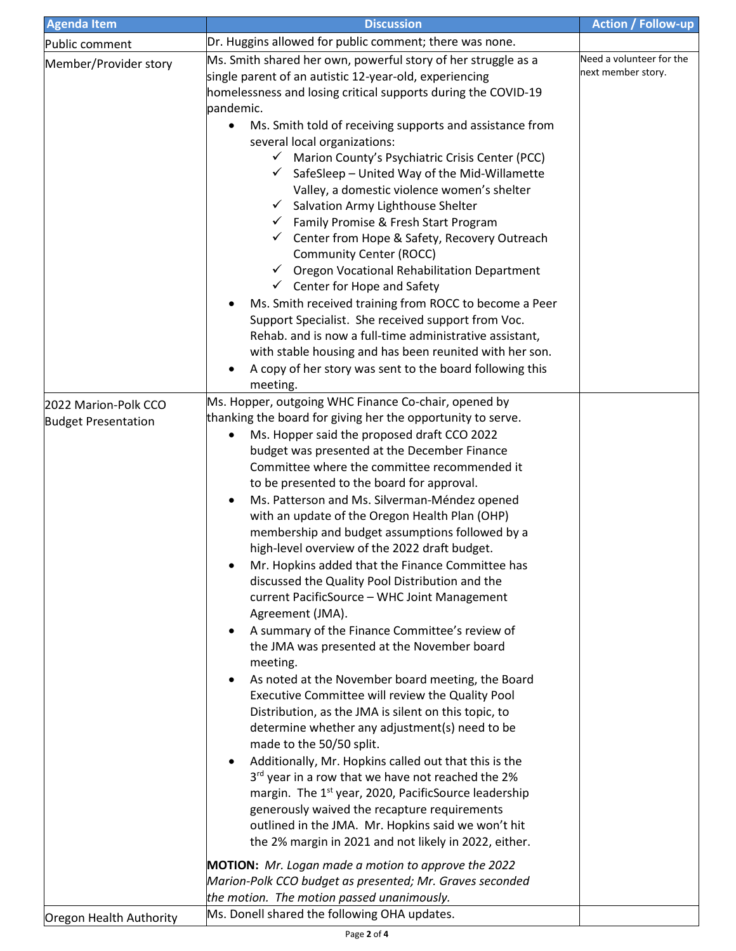| <b>Agenda Item</b>                                 | <b>Discussion</b>                                                                                                                                                                                                                                                                                                                                                                                                                                                                                                                                                                                                                                                                                                                                                                                                                                                                                                                                                                                                                                                                                                                                                                                                                                                                                                                                                                                                                                                                     | <b>Action / Follow-up</b>                      |
|----------------------------------------------------|---------------------------------------------------------------------------------------------------------------------------------------------------------------------------------------------------------------------------------------------------------------------------------------------------------------------------------------------------------------------------------------------------------------------------------------------------------------------------------------------------------------------------------------------------------------------------------------------------------------------------------------------------------------------------------------------------------------------------------------------------------------------------------------------------------------------------------------------------------------------------------------------------------------------------------------------------------------------------------------------------------------------------------------------------------------------------------------------------------------------------------------------------------------------------------------------------------------------------------------------------------------------------------------------------------------------------------------------------------------------------------------------------------------------------------------------------------------------------------------|------------------------------------------------|
| Public comment                                     | Dr. Huggins allowed for public comment; there was none.                                                                                                                                                                                                                                                                                                                                                                                                                                                                                                                                                                                                                                                                                                                                                                                                                                                                                                                                                                                                                                                                                                                                                                                                                                                                                                                                                                                                                               |                                                |
| Member/Provider story                              | Ms. Smith shared her own, powerful story of her struggle as a<br>single parent of an autistic 12-year-old, experiencing<br>homelessness and losing critical supports during the COVID-19<br>pandemic.<br>Ms. Smith told of receiving supports and assistance from<br>$\bullet$<br>several local organizations:<br>Marion County's Psychiatric Crisis Center (PCC)<br>$\checkmark$<br>SafeSleep - United Way of the Mid-Willamette<br>✓<br>Valley, a domestic violence women's shelter<br>Salvation Army Lighthouse Shelter<br>$\checkmark$<br>Family Promise & Fresh Start Program<br>$\checkmark$<br>Center from Hope & Safety, Recovery Outreach<br>$\checkmark$<br><b>Community Center (ROCC)</b><br>√ Oregon Vocational Rehabilitation Department<br>Center for Hope and Safety<br>Ms. Smith received training from ROCC to become a Peer<br>Support Specialist. She received support from Voc.<br>Rehab. and is now a full-time administrative assistant,<br>with stable housing and has been reunited with her son.<br>A copy of her story was sent to the board following this<br>meeting.                                                                                                                                                                                                                                                                                                                                                                                     | Need a volunteer for the<br>next member story. |
| 2022 Marion-Polk CCO<br><b>Budget Presentation</b> | Ms. Hopper, outgoing WHC Finance Co-chair, opened by<br>thanking the board for giving her the opportunity to serve.<br>Ms. Hopper said the proposed draft CCO 2022<br>$\bullet$<br>budget was presented at the December Finance<br>Committee where the committee recommended it<br>to be presented to the board for approval.<br>Ms. Patterson and Ms. Silverman-Méndez opened<br>$\bullet$<br>with an update of the Oregon Health Plan (OHP)<br>membership and budget assumptions followed by a<br>high-level overview of the 2022 draft budget.<br>Mr. Hopkins added that the Finance Committee has<br>٠<br>discussed the Quality Pool Distribution and the<br>current PacificSource - WHC Joint Management<br>Agreement (JMA).<br>A summary of the Finance Committee's review of<br>$\bullet$<br>the JMA was presented at the November board<br>meeting.<br>As noted at the November board meeting, the Board<br>$\bullet$<br>Executive Committee will review the Quality Pool<br>Distribution, as the JMA is silent on this topic, to<br>determine whether any adjustment(s) need to be<br>made to the 50/50 split.<br>Additionally, Mr. Hopkins called out that this is the<br>$\bullet$<br>3rd year in a row that we have not reached the 2%<br>margin. The 1 <sup>st</sup> year, 2020, PacificSource leadership<br>generously waived the recapture requirements<br>outlined in the JMA. Mr. Hopkins said we won't hit<br>the 2% margin in 2021 and not likely in 2022, either. |                                                |
|                                                    | <b>MOTION:</b> Mr. Logan made a motion to approve the 2022<br>Marion-Polk CCO budget as presented; Mr. Graves seconded<br>the motion. The motion passed unanimously.                                                                                                                                                                                                                                                                                                                                                                                                                                                                                                                                                                                                                                                                                                                                                                                                                                                                                                                                                                                                                                                                                                                                                                                                                                                                                                                  |                                                |
| Oregon Health Authority                            | Ms. Donell shared the following OHA updates.                                                                                                                                                                                                                                                                                                                                                                                                                                                                                                                                                                                                                                                                                                                                                                                                                                                                                                                                                                                                                                                                                                                                                                                                                                                                                                                                                                                                                                          |                                                |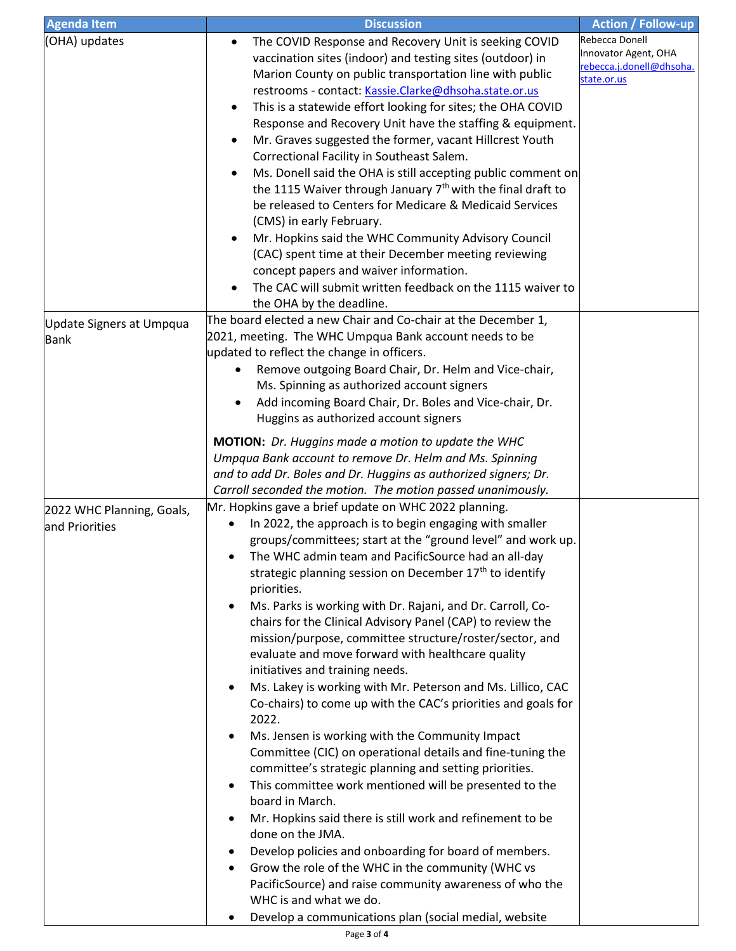| <b>Agenda Item</b>        | <b>Discussion</b>                                                        | <b>Action / Follow-up</b> |
|---------------------------|--------------------------------------------------------------------------|---------------------------|
| (OHA) updates             | The COVID Response and Recovery Unit is seeking COVID                    | Rebecca Donell            |
|                           | vaccination sites (indoor) and testing sites (outdoor) in                | Innovator Agent, OHA      |
|                           | Marion County on public transportation line with public                  | rebecca.j.donell@dhsoha.  |
|                           | restrooms - contact: Kassie.Clarke@dhsoha.state.or.us                    | state.or.us               |
|                           | This is a statewide effort looking for sites; the OHA COVID              |                           |
|                           | Response and Recovery Unit have the staffing & equipment.                |                           |
|                           | Mr. Graves suggested the former, vacant Hillcrest Youth                  |                           |
|                           | Correctional Facility in Southeast Salem.                                |                           |
|                           | Ms. Donell said the OHA is still accepting public comment on             |                           |
|                           | the 1115 Waiver through January 7 <sup>th</sup> with the final draft to  |                           |
|                           | be released to Centers for Medicare & Medicaid Services                  |                           |
|                           | (CMS) in early February.                                                 |                           |
|                           | Mr. Hopkins said the WHC Community Advisory Council                      |                           |
|                           | (CAC) spent time at their December meeting reviewing                     |                           |
|                           | concept papers and waiver information.                                   |                           |
|                           | The CAC will submit written feedback on the 1115 waiver to               |                           |
|                           |                                                                          |                           |
|                           | the OHA by the deadline.                                                 |                           |
| Update Signers at Umpqua  | The board elected a new Chair and Co-chair at the December 1,            |                           |
| <b>Bank</b>               | 2021, meeting. The WHC Umpqua Bank account needs to be                   |                           |
|                           | updated to reflect the change in officers.                               |                           |
|                           | Remove outgoing Board Chair, Dr. Helm and Vice-chair,                    |                           |
|                           | Ms. Spinning as authorized account signers                               |                           |
|                           | Add incoming Board Chair, Dr. Boles and Vice-chair, Dr.                  |                           |
|                           | Huggins as authorized account signers                                    |                           |
|                           | <b>MOTION:</b> Dr. Huggins made a motion to update the WHC               |                           |
|                           | Umpqua Bank account to remove Dr. Helm and Ms. Spinning                  |                           |
|                           | and to add Dr. Boles and Dr. Huggins as authorized signers; Dr.          |                           |
|                           | Carroll seconded the motion. The motion passed unanimously.              |                           |
| 2022 WHC Planning, Goals, | Mr. Hopkins gave a brief update on WHC 2022 planning.                    |                           |
| and Priorities            | In 2022, the approach is to begin engaging with smaller                  |                           |
|                           | groups/committees; start at the "ground level" and work up.              |                           |
|                           | The WHC admin team and PacificSource had an all-day<br>٠                 |                           |
|                           | strategic planning session on December 17 <sup>th</sup> to identify      |                           |
|                           | priorities.                                                              |                           |
|                           | Ms. Parks is working with Dr. Rajani, and Dr. Carroll, Co-<br>٠          |                           |
|                           | chairs for the Clinical Advisory Panel (CAP) to review the               |                           |
|                           | mission/purpose, committee structure/roster/sector, and                  |                           |
|                           | evaluate and move forward with healthcare quality                        |                           |
|                           | initiatives and training needs.                                          |                           |
|                           | Ms. Lakey is working with Mr. Peterson and Ms. Lillico, CAC<br>$\bullet$ |                           |
|                           | Co-chairs) to come up with the CAC's priorities and goals for            |                           |
|                           | 2022.                                                                    |                           |
|                           | Ms. Jensen is working with the Community Impact<br>٠                     |                           |
|                           | Committee (CIC) on operational details and fine-tuning the               |                           |
|                           | committee's strategic planning and setting priorities.                   |                           |
|                           | This committee work mentioned will be presented to the<br>٠              |                           |
|                           | board in March.                                                          |                           |
|                           | Mr. Hopkins said there is still work and refinement to be<br>٠           |                           |
|                           | done on the JMA.                                                         |                           |
|                           | Develop policies and onboarding for board of members.<br>٠               |                           |
|                           | Grow the role of the WHC in the community (WHC vs<br>٠                   |                           |
|                           | PacificSource) and raise community awareness of who the                  |                           |
|                           | WHC is and what we do.                                                   |                           |
|                           | Develop a communications plan (social medial, website                    |                           |
|                           |                                                                          |                           |